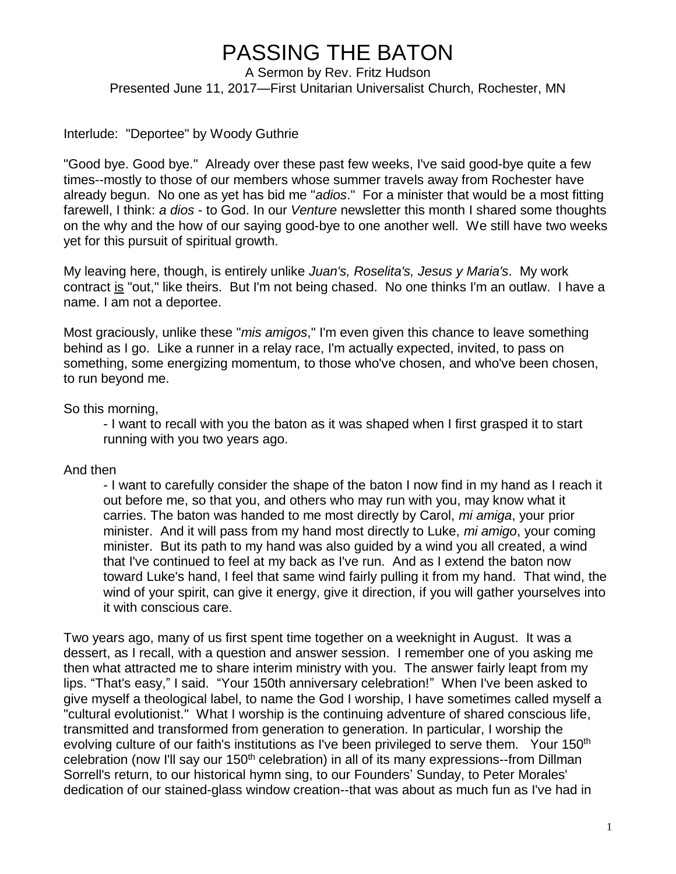## PASSING THE BATON

A Sermon by Rev. Fritz Hudson Presented June 11, 2017—First Unitarian Universalist Church, Rochester, MN

## Interlude: "Deportee" by Woody Guthrie

"Good bye. Good bye." Already over these past few weeks, I've said good-bye quite a few times--mostly to those of our members whose summer travels away from Rochester have already begun. No one as yet has bid me "*adios*." For a minister that would be a most fitting farewell, I think: *a dios* - to God. In our *Venture* newsletter this month I shared some thoughts on the why and the how of our saying good-bye to one another well. We still have two weeks yet for this pursuit of spiritual growth.

My leaving here, though, is entirely unlike *Juan's, Roselita's, Jesus y Maria's*. My work contract is "out," like theirs. But I'm not being chased. No one thinks I'm an outlaw. I have a name. I am not a deportee.

Most graciously, unlike these "*mis amigos*," I'm even given this chance to leave something behind as I go. Like a runner in a relay race, I'm actually expected, invited, to pass on something, some energizing momentum, to those who've chosen, and who've been chosen, to run beyond me.

So this morning,

- I want to recall with you the baton as it was shaped when I first grasped it to start running with you two years ago.

And then

- I want to carefully consider the shape of the baton I now find in my hand as I reach it out before me, so that you, and others who may run with you, may know what it carries. The baton was handed to me most directly by Carol, *mi amiga*, your prior minister. And it will pass from my hand most directly to Luke, *mi amigo*, your coming minister. But its path to my hand was also guided by a wind you all created, a wind that I've continued to feel at my back as I've run. And as I extend the baton now toward Luke's hand, I feel that same wind fairly pulling it from my hand. That wind, the wind of your spirit, can give it energy, give it direction, if you will gather yourselves into it with conscious care.

Two years ago, many of us first spent time together on a weeknight in August. It was a dessert, as I recall, with a question and answer session. I remember one of you asking me then what attracted me to share interim ministry with you. The answer fairly leapt from my lips. "That's easy," I said. "Your 150th anniversary celebration!" When I've been asked to give myself a theological label, to name the God I worship, I have sometimes called myself a "cultural evolutionist." What I worship is the continuing adventure of shared conscious life, transmitted and transformed from generation to generation. In particular, I worship the evolving culture of our faith's institutions as I've been privileged to serve them. Your 150<sup>th</sup> celebration (now I'll say our 150<sup>th</sup> celebration) in all of its many expressions--from Dillman Sorrell's return, to our historical hymn sing, to our Founders' Sunday, to Peter Morales' dedication of our stained-glass window creation--that was about as much fun as I've had in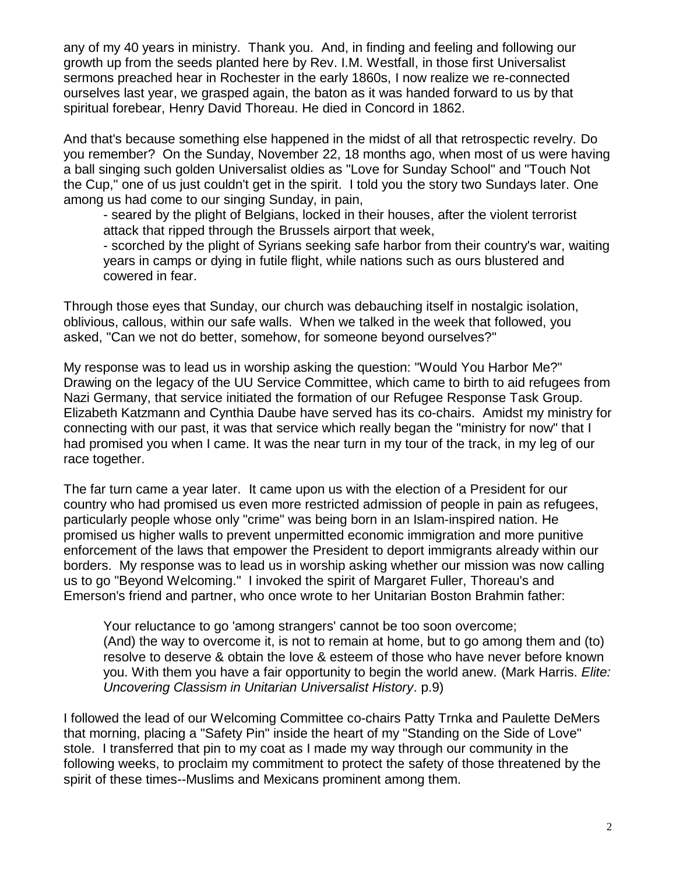any of my 40 years in ministry. Thank you. And, in finding and feeling and following our growth up from the seeds planted here by Rev. I.M. Westfall, in those first Universalist sermons preached hear in Rochester in the early 1860s, I now realize we re-connected ourselves last year, we grasped again, the baton as it was handed forward to us by that spiritual forebear, Henry David Thoreau. He died in Concord in 1862.

And that's because something else happened in the midst of all that retrospectic revelry. Do you remember? On the Sunday, November 22, 18 months ago, when most of us were having a ball singing such golden Universalist oldies as "Love for Sunday School" and "Touch Not the Cup," one of us just couldn't get in the spirit. I told you the story two Sundays later. One among us had come to our singing Sunday, in pain,

- seared by the plight of Belgians, locked in their houses, after the violent terrorist attack that ripped through the Brussels airport that week,

- scorched by the plight of Syrians seeking safe harbor from their country's war, waiting years in camps or dying in futile flight, while nations such as ours blustered and cowered in fear.

Through those eyes that Sunday, our church was debauching itself in nostalgic isolation, oblivious, callous, within our safe walls. When we talked in the week that followed, you asked, "Can we not do better, somehow, for someone beyond ourselves?"

My response was to lead us in worship asking the question: "Would You Harbor Me?" Drawing on the legacy of the UU Service Committee, which came to birth to aid refugees from Nazi Germany, that service initiated the formation of our Refugee Response Task Group. Elizabeth Katzmann and Cynthia Daube have served has its co-chairs. Amidst my ministry for connecting with our past, it was that service which really began the "ministry for now" that I had promised you when I came. It was the near turn in my tour of the track, in my leg of our race together.

The far turn came a year later. It came upon us with the election of a President for our country who had promised us even more restricted admission of people in pain as refugees, particularly people whose only "crime" was being born in an Islam-inspired nation. He promised us higher walls to prevent unpermitted economic immigration and more punitive enforcement of the laws that empower the President to deport immigrants already within our borders. My response was to lead us in worship asking whether our mission was now calling us to go "Beyond Welcoming." I invoked the spirit of Margaret Fuller, Thoreau's and Emerson's friend and partner, who once wrote to her Unitarian Boston Brahmin father:

Your reluctance to go 'among strangers' cannot be too soon overcome; (And) the way to overcome it, is not to remain at home, but to go among them and (to) resolve to deserve & obtain the love & esteem of those who have never before known you. With them you have a fair opportunity to begin the world anew. (Mark Harris. *Elite: Uncovering Classism in Unitarian Universalist History*. p.9)

I followed the lead of our Welcoming Committee co-chairs Patty Trnka and Paulette DeMers that morning, placing a "Safety Pin" inside the heart of my "Standing on the Side of Love" stole. I transferred that pin to my coat as I made my way through our community in the following weeks, to proclaim my commitment to protect the safety of those threatened by the spirit of these times--Muslims and Mexicans prominent among them.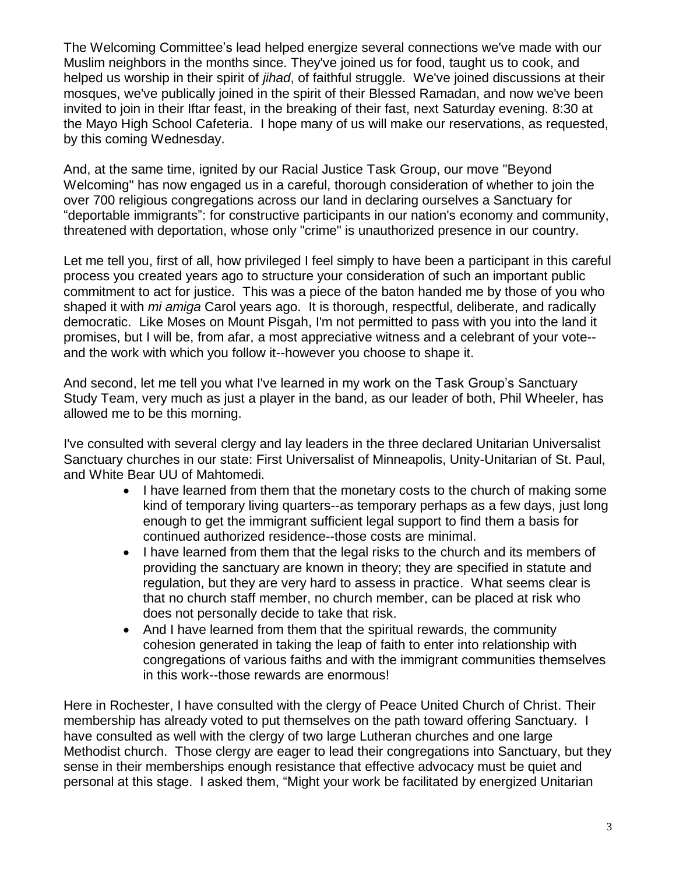The Welcoming Committee's lead helped energize several connections we've made with our Muslim neighbors in the months since. They've joined us for food, taught us to cook, and helped us worship in their spirit of *jihad*, of faithful struggle. We've joined discussions at their mosques, we've publically joined in the spirit of their Blessed Ramadan, and now we've been invited to join in their Iftar feast, in the breaking of their fast, next Saturday evening. 8:30 at the Mayo High School Cafeteria. I hope many of us will make our reservations, as requested, by this coming Wednesday.

And, at the same time, ignited by our Racial Justice Task Group, our move "Beyond Welcoming" has now engaged us in a careful, thorough consideration of whether to join the over 700 religious congregations across our land in declaring ourselves a Sanctuary for "deportable immigrants": for constructive participants in our nation's economy and community, threatened with deportation, whose only "crime" is unauthorized presence in our country.

Let me tell you, first of all, how privileged I feel simply to have been a participant in this careful process you created years ago to structure your consideration of such an important public commitment to act for justice. This was a piece of the baton handed me by those of you who shaped it with *mi amiga* Carol years ago. It is thorough, respectful, deliberate, and radically democratic. Like Moses on Mount Pisgah, I'm not permitted to pass with you into the land it promises, but I will be, from afar, a most appreciative witness and a celebrant of your vote- and the work with which you follow it--however you choose to shape it.

And second, let me tell you what I've learned in my work on the Task Group's Sanctuary Study Team, very much as just a player in the band, as our leader of both, Phil Wheeler, has allowed me to be this morning.

I've consulted with several clergy and lay leaders in the three declared Unitarian Universalist Sanctuary churches in our state: First Universalist of Minneapolis, Unity-Unitarian of St. Paul, and White Bear UU of Mahtomedi.

- I have learned from them that the monetary costs to the church of making some kind of temporary living quarters--as temporary perhaps as a few days, just long enough to get the immigrant sufficient legal support to find them a basis for continued authorized residence--those costs are minimal.
- I have learned from them that the legal risks to the church and its members of providing the sanctuary are known in theory; they are specified in statute and regulation, but they are very hard to assess in practice. What seems clear is that no church staff member, no church member, can be placed at risk who does not personally decide to take that risk.
- And I have learned from them that the spiritual rewards, the community cohesion generated in taking the leap of faith to enter into relationship with congregations of various faiths and with the immigrant communities themselves in this work--those rewards are enormous!

Here in Rochester, I have consulted with the clergy of Peace United Church of Christ. Their membership has already voted to put themselves on the path toward offering Sanctuary. I have consulted as well with the clergy of two large Lutheran churches and one large Methodist church. Those clergy are eager to lead their congregations into Sanctuary, but they sense in their memberships enough resistance that effective advocacy must be quiet and personal at this stage. I asked them, "Might your work be facilitated by energized Unitarian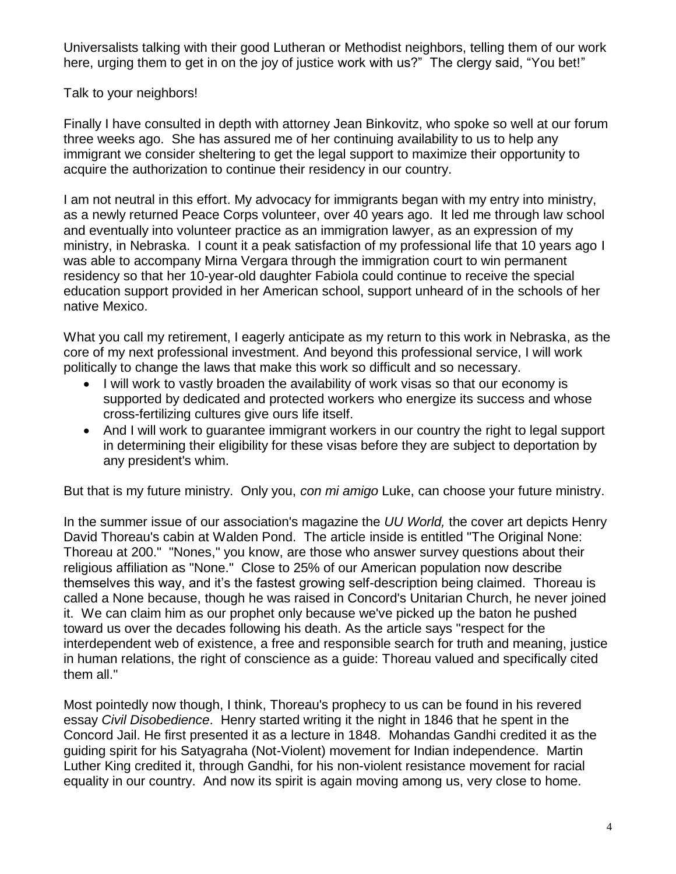Universalists talking with their good Lutheran or Methodist neighbors, telling them of our work here, urging them to get in on the joy of justice work with us?" The clergy said, "You bet!"

## Talk to your neighbors!

Finally I have consulted in depth with attorney Jean Binkovitz, who spoke so well at our forum three weeks ago. She has assured me of her continuing availability to us to help any immigrant we consider sheltering to get the legal support to maximize their opportunity to acquire the authorization to continue their residency in our country.

I am not neutral in this effort. My advocacy for immigrants began with my entry into ministry, as a newly returned Peace Corps volunteer, over 40 years ago. It led me through law school and eventually into volunteer practice as an immigration lawyer, as an expression of my ministry, in Nebraska. I count it a peak satisfaction of my professional life that 10 years ago I was able to accompany Mirna Vergara through the immigration court to win permanent residency so that her 10-year-old daughter Fabiola could continue to receive the special education support provided in her American school, support unheard of in the schools of her native Mexico.

What you call my retirement, I eagerly anticipate as my return to this work in Nebraska, as the core of my next professional investment. And beyond this professional service, I will work politically to change the laws that make this work so difficult and so necessary.

- I will work to vastly broaden the availability of work visas so that our economy is supported by dedicated and protected workers who energize its success and whose cross-fertilizing cultures give ours life itself.
- And I will work to guarantee immigrant workers in our country the right to legal support in determining their eligibility for these visas before they are subject to deportation by any president's whim.

But that is my future ministry. Only you, *con mi amigo* Luke, can choose your future ministry.

In the summer issue of our association's magazine the *UU World,* the cover art depicts Henry David Thoreau's cabin at Walden Pond. The article inside is entitled "The Original None: Thoreau at 200." "Nones," you know, are those who answer survey questions about their religious affiliation as "None." Close to 25% of our American population now describe themselves this way, and it's the fastest growing self-description being claimed. Thoreau is called a None because, though he was raised in Concord's Unitarian Church, he never joined it. We can claim him as our prophet only because we've picked up the baton he pushed toward us over the decades following his death. As the article says "respect for the interdependent web of existence, a free and responsible search for truth and meaning, justice in human relations, the right of conscience as a guide: Thoreau valued and specifically cited them all."

Most pointedly now though, I think, Thoreau's prophecy to us can be found in his revered essay *Civil Disobedience*. Henry started writing it the night in 1846 that he spent in the Concord Jail. He first presented it as a lecture in 1848. Mohandas Gandhi credited it as the guiding spirit for his Satyagraha (Not-Violent) movement for Indian independence. Martin Luther King credited it, through Gandhi, for his non-violent resistance movement for racial equality in our country. And now its spirit is again moving among us, very close to home.